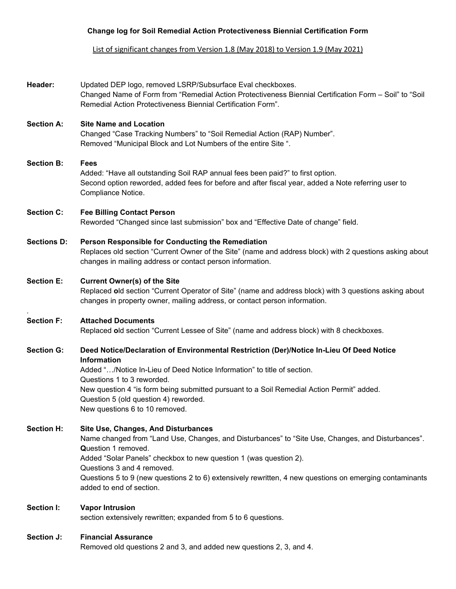## **Change log for Soil Remedial Action Protectiveness Biennial Certification Form**

List of significant changes from Version 1.8 (May 2018) to Version 1.9 (May 2021)

| Header:            | Updated DEP logo, removed LSRP/Subsurface Eval checkboxes.<br>Changed Name of Form from "Remedial Action Protectiveness Biennial Certification Form - Soil" to "Soil<br>Remedial Action Protectiveness Biennial Certification Form".                                                                                                                                                                                    |
|--------------------|-------------------------------------------------------------------------------------------------------------------------------------------------------------------------------------------------------------------------------------------------------------------------------------------------------------------------------------------------------------------------------------------------------------------------|
| <b>Section A:</b>  | <b>Site Name and Location</b><br>Changed "Case Tracking Numbers" to "Soil Remedial Action (RAP) Number".<br>Removed "Municipal Block and Lot Numbers of the entire Site ".                                                                                                                                                                                                                                              |
| <b>Section B:</b>  | <b>Fees</b><br>Added: "Have all outstanding Soil RAP annual fees been paid?" to first option.<br>Second option reworded, added fees for before and after fiscal year, added a Note referring user to<br>Compliance Notice.                                                                                                                                                                                              |
| <b>Section C:</b>  | <b>Fee Billing Contact Person</b><br>Reworded "Changed since last submission" box and "Effective Date of change" field.                                                                                                                                                                                                                                                                                                 |
| <b>Sections D:</b> | Person Responsible for Conducting the Remediation<br>Replaces old section "Current Owner of the Site" (name and address block) with 2 questions asking about<br>changes in mailing address or contact person information.                                                                                                                                                                                               |
| <b>Section E:</b>  | <b>Current Owner(s) of the Site</b><br>Replaced old section "Current Operator of Site" (name and address block) with 3 questions asking about<br>changes in property owner, mailing address, or contact person information.                                                                                                                                                                                             |
| <b>Section F:</b>  | <b>Attached Documents</b><br>Replaced old section "Current Lessee of Site" (name and address block) with 8 checkboxes.                                                                                                                                                                                                                                                                                                  |
| <b>Section G:</b>  | Deed Notice/Declaration of Environmental Restriction (Der)/Notice In-Lieu Of Deed Notice<br><b>Information</b><br>Added "/Notice In-Lieu of Deed Notice Information" to title of section.<br>Questions 1 to 3 reworded.<br>New question 4 "is form being submitted pursuant to a Soil Remedial Action Permit" added.<br>Question 5 (old question 4) reworded.<br>New questions 6 to 10 removed.                         |
| <b>Section H:</b>  | <b>Site Use, Changes, And Disturbances</b><br>Name changed from "Land Use, Changes, and Disturbances" to "Site Use, Changes, and Disturbances".<br><b>Question 1 removed.</b><br>Added "Solar Panels" checkbox to new question 1 (was question 2).<br>Questions 3 and 4 removed.<br>Questions 5 to 9 (new questions 2 to 6) extensively rewritten, 4 new questions on emerging contaminants<br>added to end of section. |
| Section I:         | <b>Vapor Intrusion</b><br>section extensively rewritten; expanded from 5 to 6 questions.                                                                                                                                                                                                                                                                                                                                |
| Section J:         | <b>Financial Assurance</b><br>Removed old questions 2 and 3, and added new questions 2, 3, and 4.                                                                                                                                                                                                                                                                                                                       |